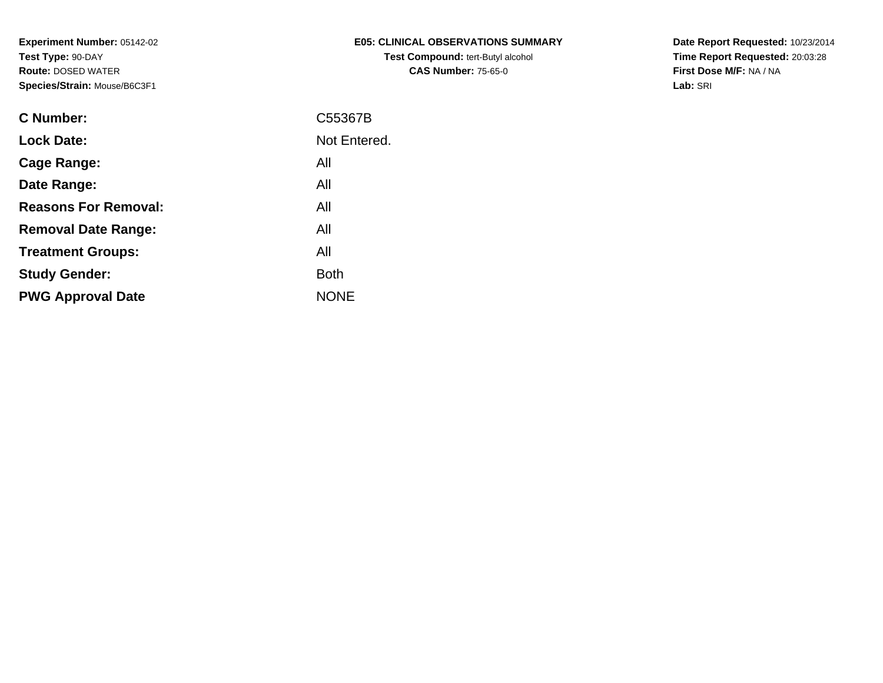| <b>E05: CLINICAL OBSERVATIONS SUMMARY</b> |
|-------------------------------------------|
| <b>Test Compound: tert-Butyl alcohol</b>  |
| <b>CAS Number: 75-65-0</b>                |

**Date Report Requested:** 10/23/2014 **Time Report Requested:** 20:03:28**First Dose M/F:** NA / NA**Lab:** SRI

| C Number:                   | C55367B      |
|-----------------------------|--------------|
| <b>Lock Date:</b>           | Not Entered. |
| Cage Range:                 | All          |
| Date Range:                 | All          |
| <b>Reasons For Removal:</b> | All          |
| <b>Removal Date Range:</b>  | All          |
| <b>Treatment Groups:</b>    | All          |
| <b>Study Gender:</b>        | <b>Both</b>  |
| <b>PWG Approval Date</b>    | <b>NONE</b>  |
|                             |              |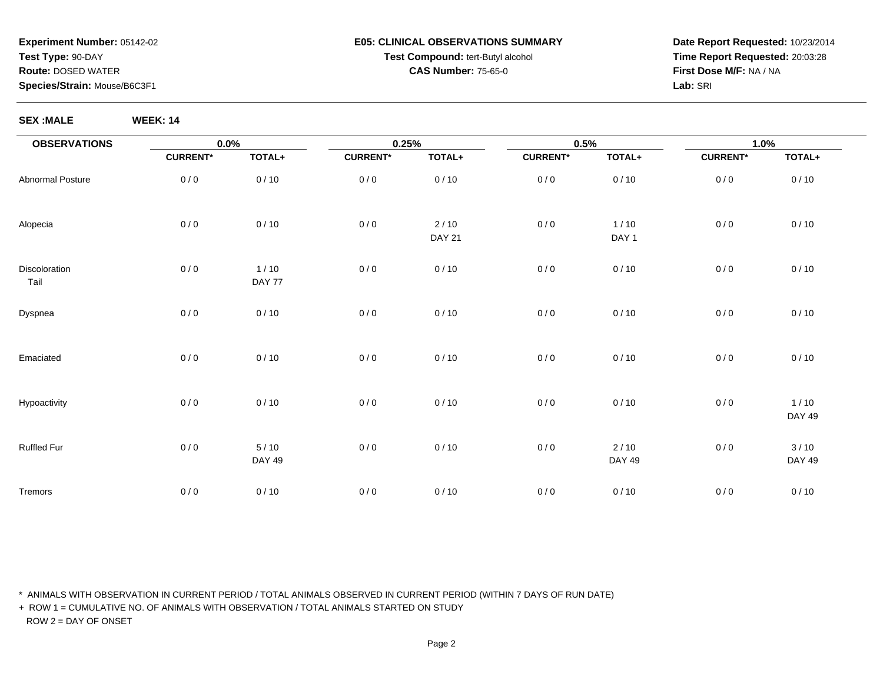#### **E05: CLINICAL OBSERVATIONS SUMMARYTest Compound:** tert-Butyl alcohol **CAS Number:** 75-65-0

**Date Report Requested:** 10/23/2014**Time Report Requested:** 20:03:28**First Dose M/F:** NA / NA**Lab:** SRI

**SEX :MALE WEEK: 14**

| <b>OBSERVATIONS</b>   | $0.0\%$         |                         | 0.25%           |                       | 0.5%            |                  | 1.0%            |                         |
|-----------------------|-----------------|-------------------------|-----------------|-----------------------|-----------------|------------------|-----------------|-------------------------|
|                       | <b>CURRENT*</b> | TOTAL+                  | <b>CURRENT*</b> | TOTAL+                | <b>CURRENT*</b> | TOTAL+           | <b>CURRENT*</b> | TOTAL+                  |
| Abnormal Posture      | 0/0             | 0/10                    | 0/0             | 0/10                  | 0/0             | 0/10             | 0/0             | 0/10                    |
| Alopecia              | 0/0             | 0/10                    | $0/0$           | 2/10<br><b>DAY 21</b> | 0/0             | 1/10<br>DAY 1    | 0/0             | 0/10                    |
| Discoloration<br>Tail | 0/0             | 1/10<br>DAY 77          | $0/0$           | 0/10                  | 0/0             | 0/10             | 0/0             | 0/10                    |
| Dyspnea               | 0/0             | 0/10                    | $0/0$           | 0/10                  | 0/0             | 0/10             | 0/0             | 0/10                    |
| Emaciated             | 0/0             | 0/10                    | 0/0             | 0/10                  | 0/0             | 0/10             | 0/0             | 0/10                    |
| Hypoactivity          | 0/0             | 0/10                    | 0/0             | 0/10                  | 0/0             | 0/10             | 0/0             | $1/10$<br><b>DAY 49</b> |
| Ruffled Fur           | 0/0             | $5/10$<br><b>DAY 49</b> | 0/0             | 0/10                  | 0/0             | $2/10$<br>DAY 49 | 0/0             | 3/10<br><b>DAY 49</b>   |
| Tremors               | 0/0             | 0/10                    | 0/0             | 0/10                  | 0/0             | 0/10             | 0/0             | 0/10                    |

\* ANIMALS WITH OBSERVATION IN CURRENT PERIOD / TOTAL ANIMALS OBSERVED IN CURRENT PERIOD (WITHIN 7 DAYS OF RUN DATE)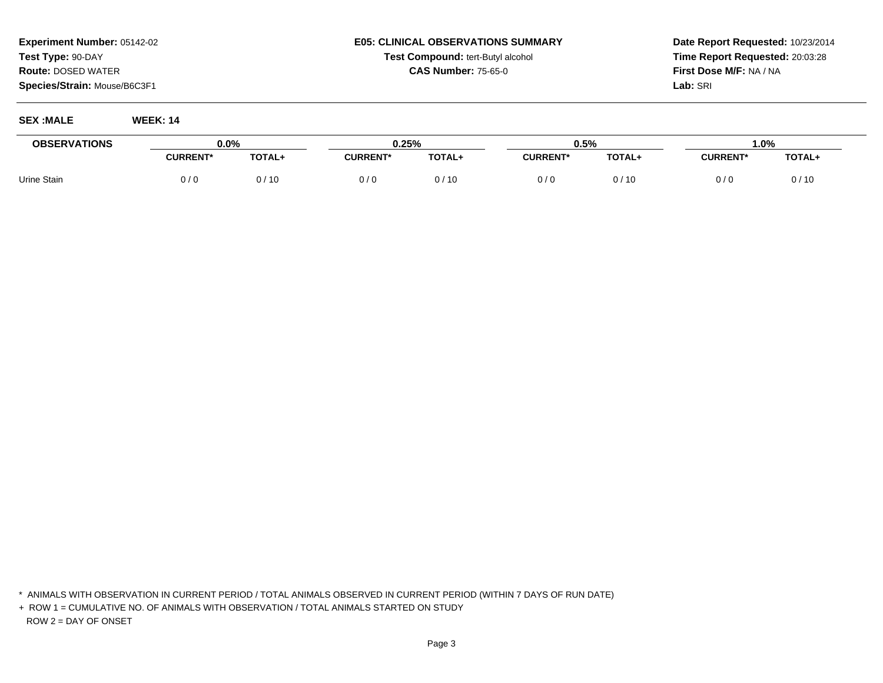#### **E05: CLINICAL OBSERVATIONS SUMMARYTest Compound:** tert-Butyl alcohol **CAS Number:** 75-65-0

**Date Report Requested:** 10/23/2014**Time Report Requested:** 20:03:28**First Dose M/F:** NA / NA**Lab:** SRI

**SEX :MALE WEEK: 14**

| <b>OBSERVATIONS</b> | $0.0\%$         |        | 0.25%           |             | 0.5%            |        | 0%،             |        |
|---------------------|-----------------|--------|-----------------|-------------|-----------------|--------|-----------------|--------|
|                     | <b>CURRENT*</b> | TOTAL+ | <b>CURRENT*</b> | TOTAL+      | <b>CURRENT*</b> | TOTAL+ | <b>CURRENT*</b> | TOTAL+ |
| Urine Stain         | 0 / 0           | 0/10   | 0/0             | / 10<br>U / | 0 / C           | ງ / 10 |                 | 0/10   |

<sup>\*</sup> ANIMALS WITH OBSERVATION IN CURRENT PERIOD / TOTAL ANIMALS OBSERVED IN CURRENT PERIOD (WITHIN 7 DAYS OF RUN DATE)

<sup>+</sup> ROW 1 = CUMULATIVE NO. OF ANIMALS WITH OBSERVATION / TOTAL ANIMALS STARTED ON STUDYROW 2 = DAY OF ONSET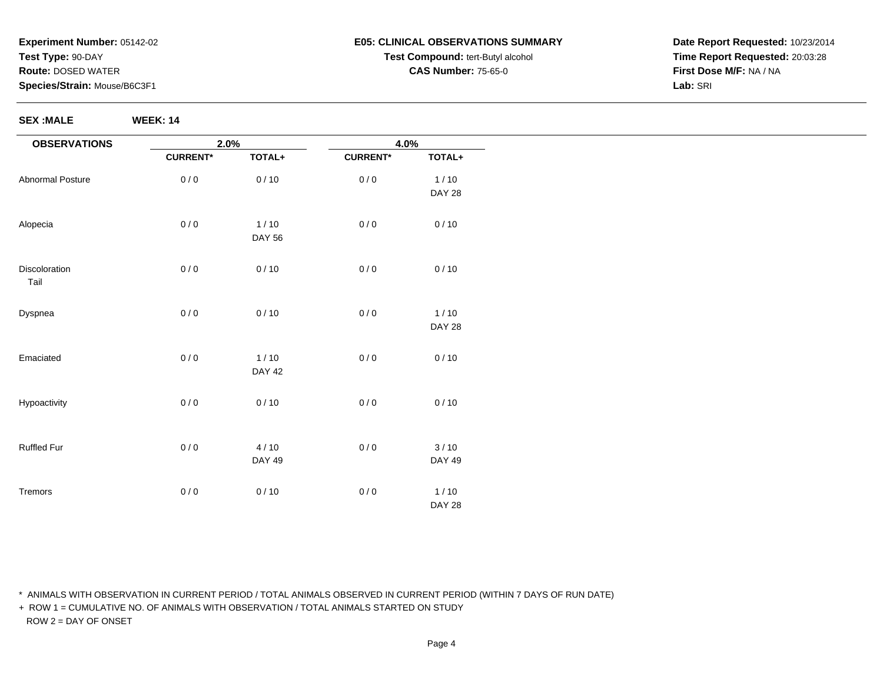**SEX :MALE WEEK: 14**

#### **E05: CLINICAL OBSERVATIONS SUMMARYTest Compound:** tert-Butyl alcohol **CAS Number:** 75-65-0

**Date Report Requested:** 10/23/2014**Time Report Requested:** 20:03:28**First Dose M/F:** NA / NA**Lab:** SRI

| <b>OBSERVATIONS</b>   | 2.0%            |               | 4.0%            |               |
|-----------------------|-----------------|---------------|-----------------|---------------|
|                       | <b>CURRENT*</b> | TOTAL+        | <b>CURRENT*</b> | TOTAL+        |
| Abnormal Posture      | 0/0             | 0/10          | 0/0             | 1/10          |
|                       |                 |               |                 | <b>DAY 28</b> |
| Alopecia              | 0/0             | $1/10$        | 0/0             | 0/10          |
|                       |                 | <b>DAY 56</b> |                 |               |
| Discoloration<br>Tail | 0/0             | 0/10          | 0/0             | 0/10          |
| Dyspnea               | 0/0             | 0/10          | 0/0             | $1/10$        |
|                       |                 |               |                 | <b>DAY 28</b> |
| Emaciated             | 0/0             | 1/10          | 0/0             | 0/10          |
|                       |                 | <b>DAY 42</b> |                 |               |
| Hypoactivity          | 0/0             | 0/10          | 0/0             | 0/10          |
|                       |                 |               |                 |               |
| Ruffled Fur           | 0/0             | 4/10          | 0/0             | 3/10          |
|                       |                 | <b>DAY 49</b> |                 | DAY 49        |
| Tremors               | 0/0             | 0/10          | 0/0             | $1/10$        |
|                       |                 |               |                 | <b>DAY 28</b> |

\* ANIMALS WITH OBSERVATION IN CURRENT PERIOD / TOTAL ANIMALS OBSERVED IN CURRENT PERIOD (WITHIN 7 DAYS OF RUN DATE)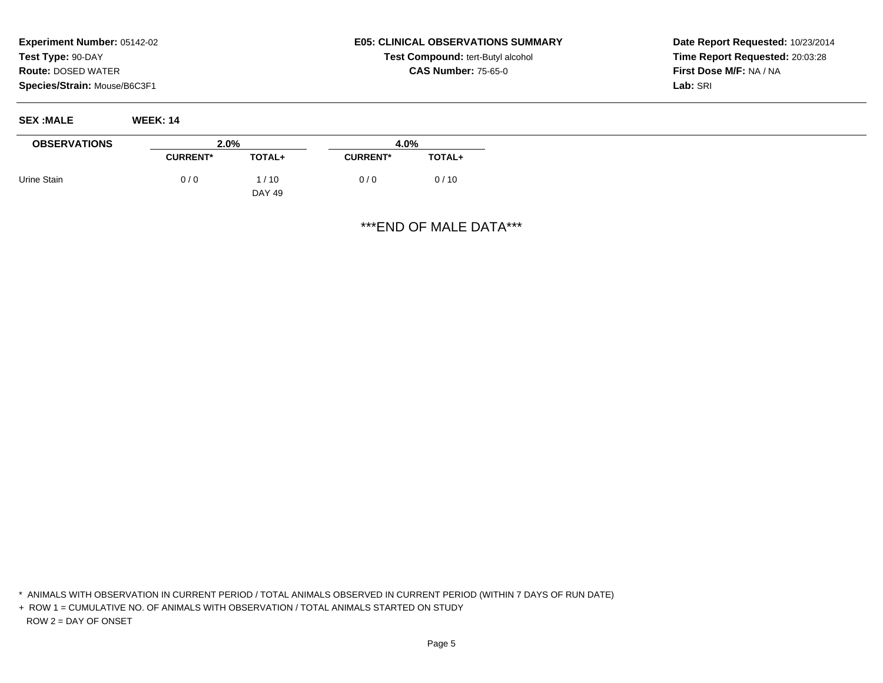**SEX :MALE WEEK: 14**

# **E05: CLINICAL OBSERVATIONS SUMMARYTest Compound:** tert-Butyl alcohol **CAS Number:** 75-65-0

**Date Report Requested:** 10/23/2014**Time Report Requested:** 20:03:28**First Dose M/F:** NA / NA**Lab:** SRI

| $\sim$              |                 |                  |                 |        |
|---------------------|-----------------|------------------|-----------------|--------|
| <b>OBSERVATIONS</b> | 2.0%            |                  | 4.0%            |        |
|                     | <b>CURRENT*</b> | <b>TOTAL+</b>    | <b>CURRENT*</b> | TOTAL+ |
| Urine Stain         | 0/0             | 1 / 10<br>DAY 49 | 0/0             | 0/10   |

\*\*\*END OF MALE DATA\*\*\*

\* ANIMALS WITH OBSERVATION IN CURRENT PERIOD / TOTAL ANIMALS OBSERVED IN CURRENT PERIOD (WITHIN 7 DAYS OF RUN DATE)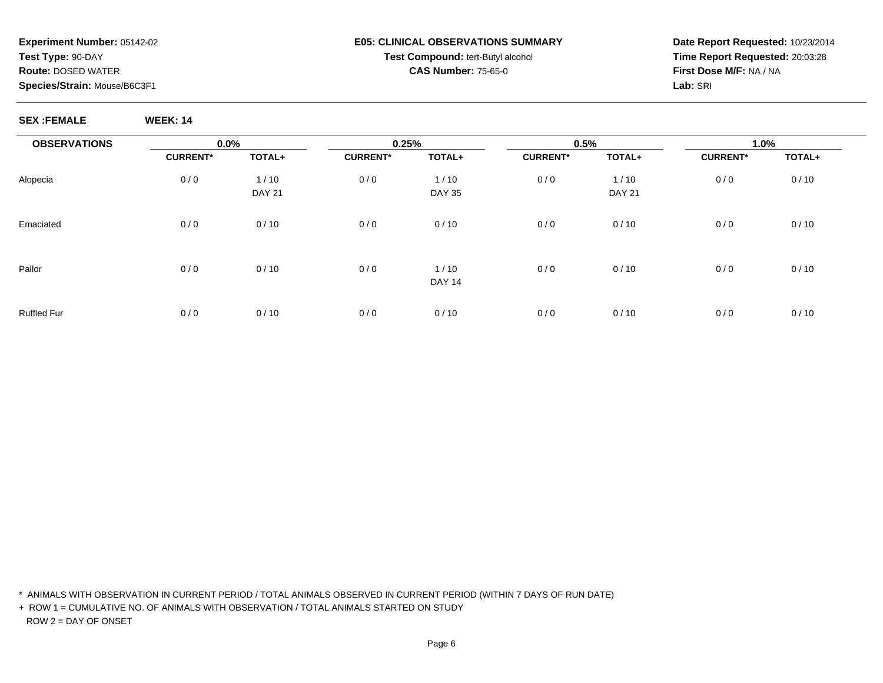#### **E05: CLINICAL OBSERVATIONS SUMMARYTest Compound:** tert-Butyl alcohol **CAS Number:** 75-65-0

**Date Report Requested:** 10/23/2014**Time Report Requested:** 20:03:28**First Dose M/F:** NA / NA**Lab:** SRI

#### **SEX :FEMALE WEEK: 14**

| <b>OBSERVATIONS</b> | 0.0%            |                       | 0.25%           |                       | 0.5%            |                         | 1.0%            |        |  |
|---------------------|-----------------|-----------------------|-----------------|-----------------------|-----------------|-------------------------|-----------------|--------|--|
|                     | <b>CURRENT*</b> | TOTAL+                | <b>CURRENT*</b> | TOTAL+                | <b>CURRENT*</b> | TOTAL+                  | <b>CURRENT*</b> | TOTAL+ |  |
| Alopecia            | 0/0             | 1/10<br><b>DAY 21</b> | 0/0             | 1/10<br><b>DAY 35</b> | 0/0             | $1/10$<br><b>DAY 21</b> | 0/0             | 0/10   |  |
| Emaciated           | 0/0             | 0/10                  | 0/0             | 0/10                  | 0/0             | 0/10                    | 0/0             | 0/10   |  |
| Pallor              | 0/0             | 0/10                  | 0/0             | 1/10<br><b>DAY 14</b> | 0/0             | 0/10                    | 0/0             | 0/10   |  |
| <b>Ruffled Fur</b>  | 0/0             | 0/10                  | 0/0             | 0/10                  | 0/0             | 0/10                    | 0/0             | 0/10   |  |

\* ANIMALS WITH OBSERVATION IN CURRENT PERIOD / TOTAL ANIMALS OBSERVED IN CURRENT PERIOD (WITHIN 7 DAYS OF RUN DATE)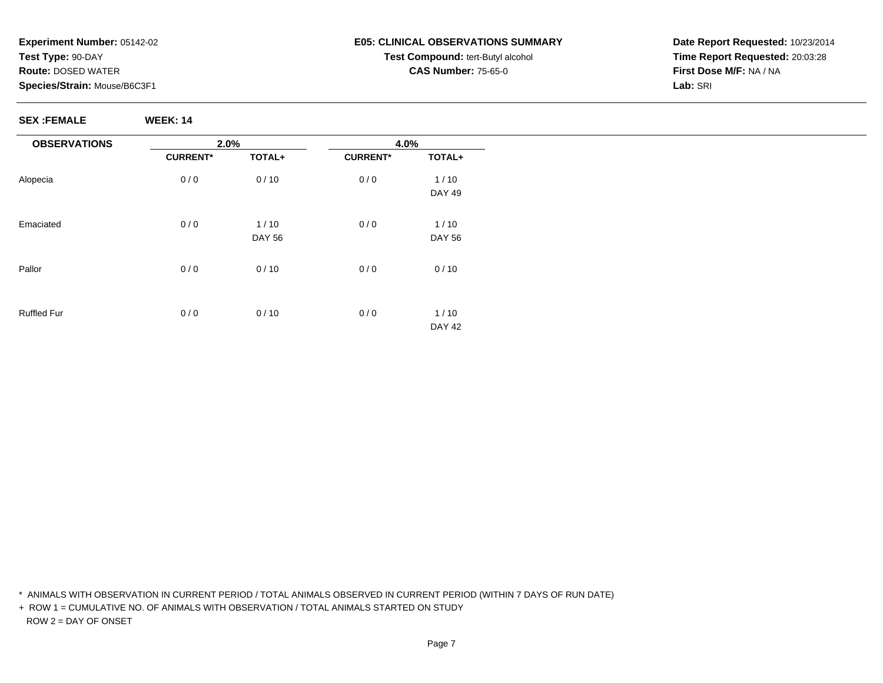#### **E05: CLINICAL OBSERVATIONS SUMMARYTest Compound:** tert-Butyl alcohol **CAS Number:** 75-65-0

**Date Report Requested:** 10/23/2014**Time Report Requested:** 20:03:28**First Dose M/F:** NA / NA**Lab:** SRI

**SEX :FEMALE WEEK: 14**

| <b>OBSERVATIONS</b> | 2.0%            |               | 4.0%            |               |
|---------------------|-----------------|---------------|-----------------|---------------|
|                     | <b>CURRENT*</b> | TOTAL+        | <b>CURRENT*</b> | TOTAL+        |
| Alopecia            | 0/0             | 0/10          | 0/0             | $1/10$        |
|                     |                 |               |                 | <b>DAY 49</b> |
| Emaciated           | 0/0             | 1/10          | 0/0             | $1/10$        |
|                     |                 | <b>DAY 56</b> |                 | <b>DAY 56</b> |
| Pallor              | 0/0             | 0/10          | 0/0             | 0/10          |
|                     |                 |               |                 |               |
| <b>Ruffled Fur</b>  | 0/0             | 0/10          | 0/0             | $1/10$        |
|                     |                 |               |                 | <b>DAY 42</b> |

\* ANIMALS WITH OBSERVATION IN CURRENT PERIOD / TOTAL ANIMALS OBSERVED IN CURRENT PERIOD (WITHIN 7 DAYS OF RUN DATE)